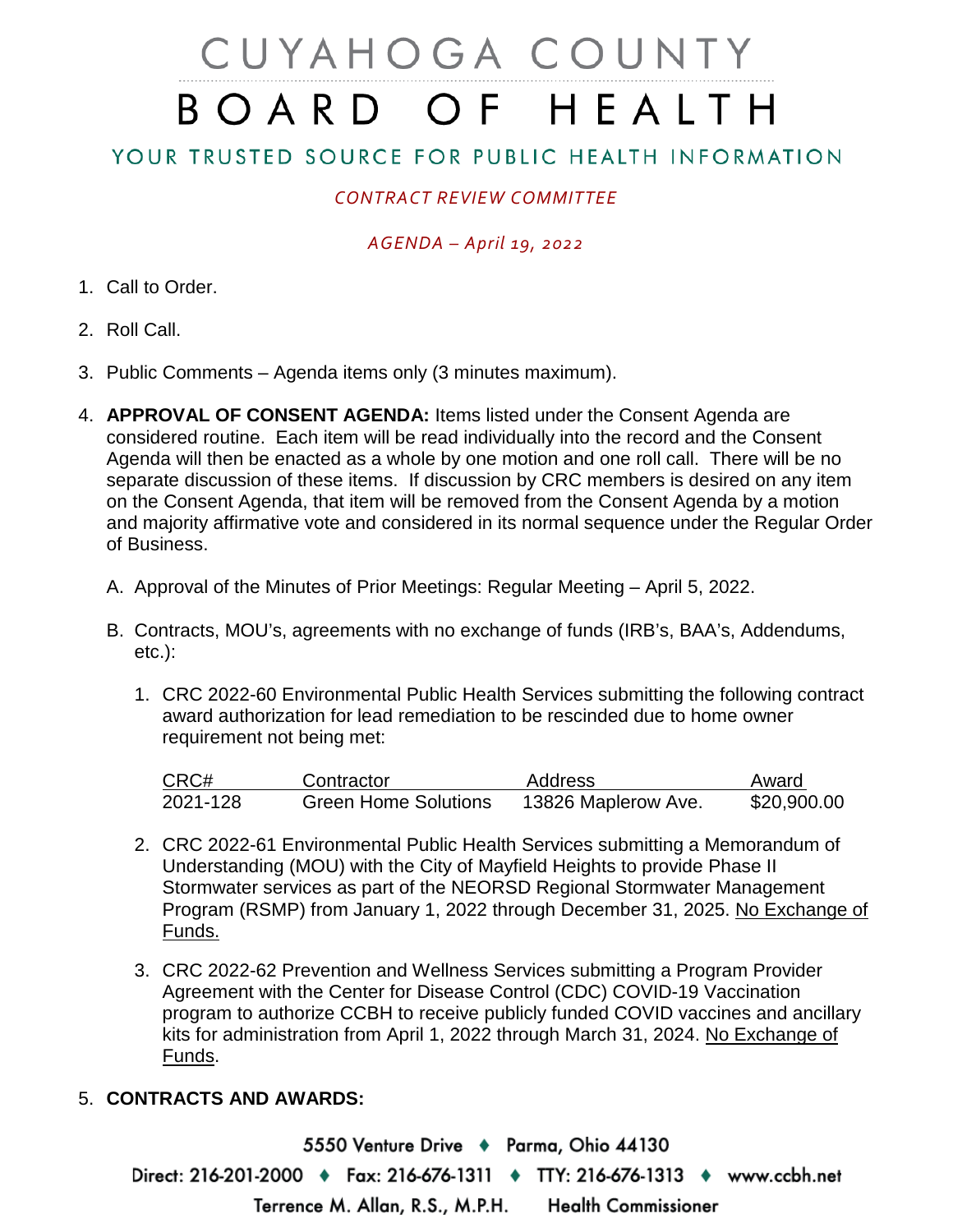# CUYAHOGA COUNTY BOARD OF HEALTH

## YOUR TRUSTED SOURCE FOR PUBLIC HEALTH INFORMATION

## *CONTRACT REVIEW COMMITTEE*

#### *AGENDA – April 19, 2022*

- 1. Call to Order.
- 2. Roll Call.
- 3. Public Comments Agenda items only (3 minutes maximum).
- 4. **APPROVAL OF CONSENT AGENDA:** Items listed under the Consent Agenda are considered routine. Each item will be read individually into the record and the Consent Agenda will then be enacted as a whole by one motion and one roll call. There will be no separate discussion of these items. If discussion by CRC members is desired on any item on the Consent Agenda, that item will be removed from the Consent Agenda by a motion and majority affirmative vote and considered in its normal sequence under the Regular Order of Business.
	- A. Approval of the Minutes of Prior Meetings: Regular Meeting April 5, 2022.
	- B. Contracts, MOU's, agreements with no exchange of funds (IRB's, BAA's, Addendums, etc.):
		- 1. CRC 2022-60 Environmental Public Health Services submitting the following contract award authorization for lead remediation to be rescinded due to home owner requirement not being met:

| CRC#     | Contractor                  | Address             | Award       |
|----------|-----------------------------|---------------------|-------------|
| 2021-128 | <b>Green Home Solutions</b> | 13826 Maplerow Ave. | \$20,900.00 |

- 2. CRC 2022-61 Environmental Public Health Services submitting a Memorandum of Understanding (MOU) with the City of Mayfield Heights to provide Phase II Stormwater services as part of the NEORSD Regional Stormwater Management Program (RSMP) from January 1, 2022 through December 31, 2025. No Exchange of Funds.
- 3. CRC 2022-62 Prevention and Wellness Services submitting a Program Provider Agreement with the Center for Disease Control (CDC) COVID-19 Vaccination program to authorize CCBH to receive publicly funded COVID vaccines and ancillary kits for administration from April 1, 2022 through March 31, 2024. No Exchange of Funds.

### 5. **CONTRACTS AND AWARDS:**

5550 Venture Drive + Parma, Ohio 44130 Direct: 216-201-2000 ♦ Fax: 216-676-1311 ♦ TTY: 216-676-1313 ♦ www.ccbh.net Terrence M. Allan, R.S., M.P.H. **Health Commissioner**